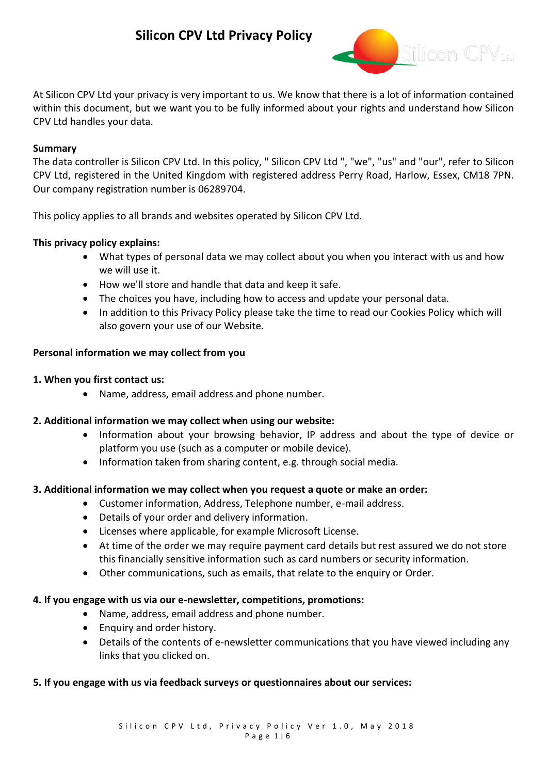

At Silicon CPV Ltd your privacy is very important to us. We know that there is a lot of information contained within this document, but we want you to be fully informed about your rights and understand how Silicon CPV Ltd handles your data.

## **Summary**

The data controller is Silicon CPV Ltd. In this policy, " Silicon CPV Ltd ", "we", "us" and "our", refer to Silicon CPV Ltd, registered in the United Kingdom with registered address Perry Road, Harlow, Essex, CM18 7PN. Our company registration number is 06289704.

This policy applies to all brands and websites operated by Silicon CPV Ltd.

## **This privacy policy explains:**

- What types of personal data we may collect about you when you interact with us and how we will use it.
- How we'll store and handle that data and keep it safe.
- The choices you have, including how to access and update your personal data.
- In addition to this Privacy Policy please take the time to read our Cookies Policy which will also govern your use of our Website.

## **Personal information we may collect from you**

## **1. When you first contact us:**

• Name, address, email address and phone number.

## **2. Additional information we may collect when using our website:**

- Information about your browsing behavior, IP address and about the type of device or platform you use (such as a computer or mobile device).
- Information taken from sharing content, e.g. through social media.

## **3. Additional information we may collect when you request a quote or make an order:**

- Customer information, Address, Telephone number, e-mail address.
- Details of your order and delivery information.
- Licenses where applicable, for example Microsoft License.
- At time of the order we may require payment card details but rest assured we do not store this financially sensitive information such as card numbers or security information.
- Other communications, such as emails, that relate to the enquiry or Order.

## **4. If you engage with us via our e-newsletter, competitions, promotions:**

- Name, address, email address and phone number.
- Enquiry and order history.
- Details of the contents of e-newsletter communications that you have viewed including any links that you clicked on.

## **5. If you engage with us via feedback surveys or questionnaires about our services:**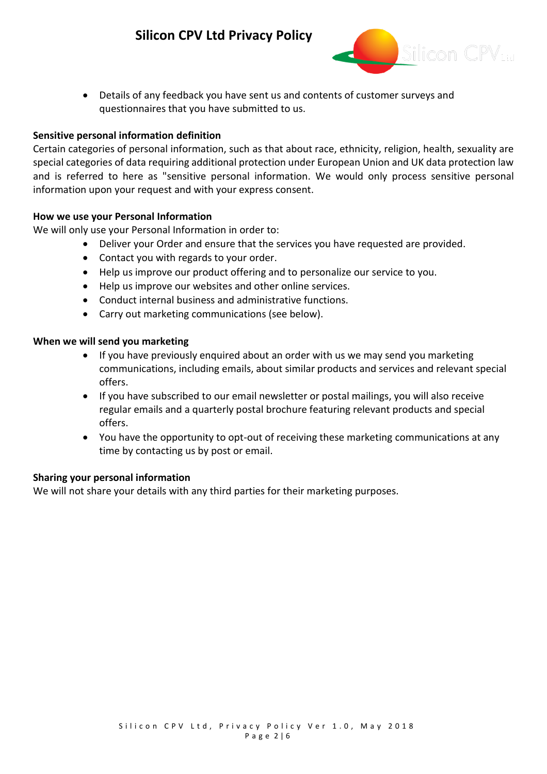

• Details of any feedback you have sent us and contents of customer surveys and questionnaires that you have submitted to us.

## **Sensitive personal information definition**

Certain categories of personal information, such as that about race, ethnicity, religion, health, sexuality are special categories of data requiring additional protection under European Union and UK data protection law and is referred to here as "sensitive personal information. We would only process sensitive personal information upon your request and with your express consent.

## **How we use your Personal Information**

We will only use your Personal Information in order to:

- Deliver your Order and ensure that the services you have requested are provided.
- Contact you with regards to your order.
- Help us improve our product offering and to personalize our service to you.
- Help us improve our websites and other online services.
- Conduct internal business and administrative functions.
- Carry out marketing communications (see below).

## **When we will send you marketing**

- If you have previously enquired about an order with us we may send you marketing communications, including emails, about similar products and services and relevant special offers.
- If you have subscribed to our email newsletter or postal mailings, you will also receive regular emails and a quarterly postal brochure featuring relevant products and special offers.
- You have the opportunity to opt-out of receiving these marketing communications at any time by contacting us by post or email.

## **Sharing your personal information**

We will not share your details with any third parties for their marketing purposes.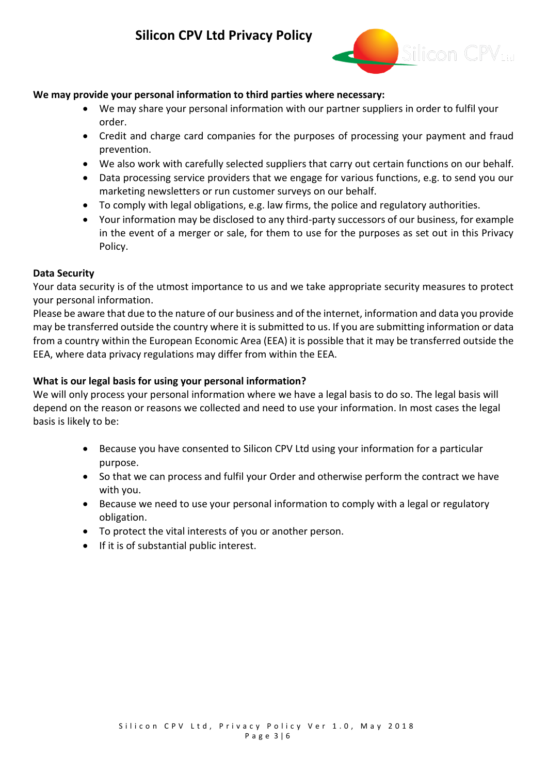

## **We may provide your personal information to third parties where necessary:**

- We may share your personal information with our partner suppliers in order to fulfil your order.
- Credit and charge card companies for the purposes of processing your payment and fraud prevention.
- We also work with carefully selected suppliers that carry out certain functions on our behalf.
- Data processing service providers that we engage for various functions, e.g. to send you our marketing newsletters or run customer surveys on our behalf.
- To comply with legal obligations, e.g. law firms, the police and regulatory authorities.
- Your information may be disclosed to any third-party successors of our business, for example in the event of a merger or sale, for them to use for the purposes as set out in this Privacy Policy.

## **Data Security**

Your data security is of the utmost importance to us and we take appropriate security measures to protect your personal information.

Please be aware that due to the nature of our business and of the internet, information and data you provide may be transferred outside the country where it is submitted to us. If you are submitting information or data from a country within the European Economic Area (EEA) it is possible that it may be transferred outside the EEA, where data privacy regulations may differ from within the EEA.

## **What is our legal basis for using your personal information?**

We will only process your personal information where we have a legal basis to do so. The legal basis will depend on the reason or reasons we collected and need to use your information. In most cases the legal basis is likely to be:

- Because you have consented to Silicon CPV Ltd using your information for a particular purpose.
- So that we can process and fulfil your Order and otherwise perform the contract we have with you.
- Because we need to use your personal information to comply with a legal or regulatory obligation.
- To protect the vital interests of you or another person.
- If it is of substantial public interest.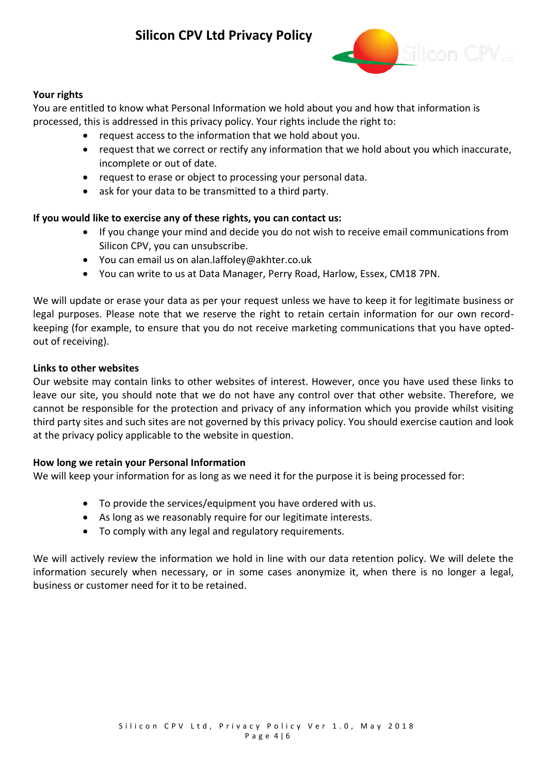

## **Your rights**

You are entitled to know what Personal Information we hold about you and how that information is processed, this is addressed in this privacy policy. Your rights include the right to:

- request access to the information that we hold about you.
- request that we correct or rectify any information that we hold about you which inaccurate, incomplete or out of date.
- request to erase or object to processing your personal data.
- ask for your data to be transmitted to a third party.

## **If you would like to exercise any of these rights, you can contact us:**

- If you change your mind and decide you do not wish to receive email communications from Silicon CPV, you can unsubscribe.
- You can email us on alan.laffoley@akhter.co.uk
- You can write to us at Data Manager, Perry Road, Harlow, Essex, CM18 7PN.

We will update or erase your data as per your request unless we have to keep it for legitimate business or legal purposes. Please note that we reserve the right to retain certain information for our own recordkeeping (for example, to ensure that you do not receive marketing communications that you have optedout of receiving).

#### **Links to other websites**

Our website may contain links to other websites of interest. However, once you have used these links to leave our site, you should note that we do not have any control over that other website. Therefore, we cannot be responsible for the protection and privacy of any information which you provide whilst visiting third party sites and such sites are not governed by this privacy policy. You should exercise caution and look at the privacy policy applicable to the website in question.

## **How long we retain your Personal Information**

We will keep your information for as long as we need it for the purpose it is being processed for:

- To provide the services/equipment you have ordered with us.
- As long as we reasonably require for our legitimate interests.
- To comply with any legal and regulatory requirements.

We will actively review the information we hold in line with our data retention policy. We will delete the information securely when necessary, or in some cases anonymize it, when there is no longer a legal, business or customer need for it to be retained.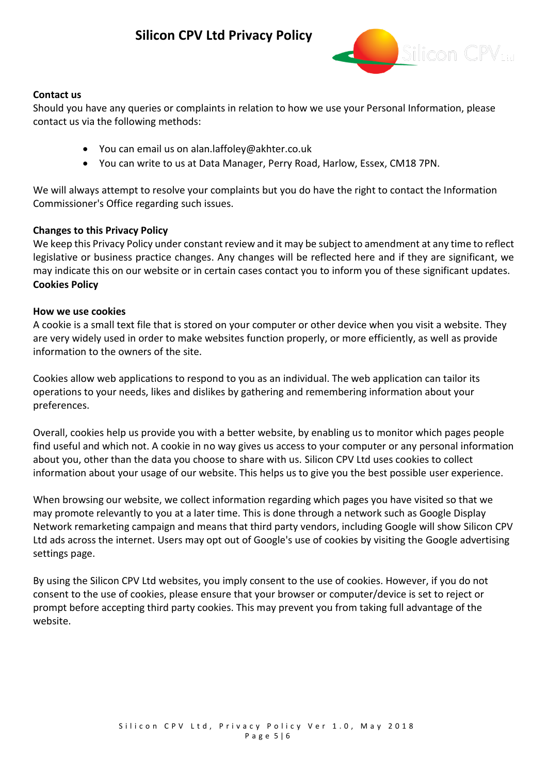

## **Contact us**

Should you have any queries or complaints in relation to how we use your Personal Information, please contact us via the following methods:

- You can email us on alan.laffoley@akhter.co.uk
- You can write to us at Data Manager, Perry Road, Harlow, Essex, CM18 7PN.

We will always attempt to resolve your complaints but you do have the right to contact the Information Commissioner's Office regarding such issues.

## **Changes to this Privacy Policy**

We keep this Privacy Policy under constant review and it may be subject to amendment at any time to reflect legislative or business practice changes. Any changes will be reflected here and if they are significant, we may indicate this on our website or in certain cases contact you to inform you of these significant updates. **Cookies Policy**

## **How we use cookies**

A cookie is a small text file that is stored on your computer or other device when you visit a website. They are very widely used in order to make websites function properly, or more efficiently, as well as provide information to the owners of the site.

Cookies allow web applications to respond to you as an individual. The web application can tailor its operations to your needs, likes and dislikes by gathering and remembering information about your preferences.

Overall, cookies help us provide you with a better website, by enabling us to monitor which pages people find useful and which not. A cookie in no way gives us access to your computer or any personal information about you, other than the data you choose to share with us. Silicon CPV Ltd uses cookies to collect information about your usage of our website. This helps us to give you the best possible user experience.

When browsing our website, we collect information regarding which pages you have visited so that we may promote relevantly to you at a later time. This is done through a network such as Google Display Network remarketing campaign and means that third party vendors, including Google will show Silicon CPV Ltd ads across the internet. Users may opt out of Google's use of cookies by visiting the [Google advertising](https://policies.google.com/technologies/ads)  [settings page.](https://policies.google.com/technologies/ads)

By using the Silicon CPV Ltd websites, you imply consent to the use of cookies. However, if you do not consent to the use of cookies, please ensure that your browser or computer/device is set to reject or prompt before accepting third party cookies. This may prevent you from taking full advantage of the website.